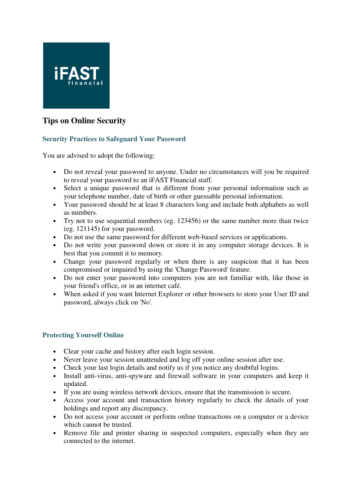

# **Tips on Online Security**

## **Security Practices to Safeguard Your Password**

You are advised to adopt the following:

- Do not reveal your password to anyone. Under no circumstances will you be required to reveal your password to an iFAST Financial staff.
- Select a unique password that is different from your personal information such as your telephone number, date of birth or other guessable personal information.
- Your password should be at least 8 characters long and include both alphabets as well as numbers.
- Try not to use sequential numbers (eg. 123456) or the same number more than twice (eg. 121145) for your password.
- Do not use the same password for different web-based services or applications.
- Do not write your password down or store it in any computer storage devices. It is best that you commit it to memory.
- Change your password regularly or when there is any suspicion that it has been compromised or impaired by using the 'Change Password' feature.
- Do not enter your password into computers you are not familiar with, like those in your friend's office, or in an internet café.
- When asked if you want Internet Explorer or other browsers to store your User ID and password, always click on 'No'.

## **Protecting Yourself Online**

- Clear your cache and history after each login session.
- Never leave your session unattended and log off your online session after use.
- Check your last login details and notify us if you notice any doubtful logins.
- Install anti-virus, anti-spyware and firewall software in your computers and keep it updated.
- If you are using wireless network devices, ensure that the transmission is secure.
- Access your account and transaction history regularly to check the details of your holdings and report any discrepancy.
- Do not access your account or perform online transactions on a computer or a device which cannot be trusted.
- Remove file and printer sharing in suspected computers, especially when they are connected to the internet.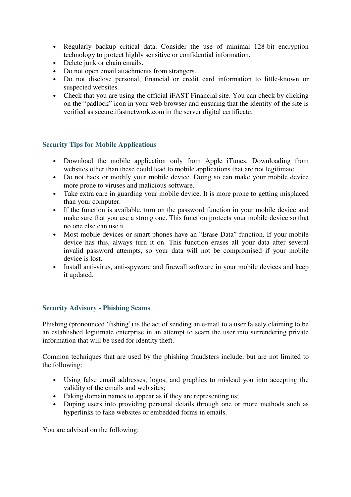- Regularly backup critical data. Consider the use of minimal 128-bit encryption technology to protect highly sensitive or confidential information.
- Delete junk or chain emails.
- Do not open email attachments from strangers.
- Do not disclose personal, financial or credit card information to little-known or suspected websites.
- Check that you are using the official iFAST Financial site. You can check by clicking on the "padlock" icon in your web browser and ensuring that the identity of the site is verified as secure.ifastnetwork.com in the server digital certificate.

## **Security Tips for Mobile Applications**

- Download the mobile application only from Apple iTunes. Downloading from websites other than these could lead to mobile applications that are not legitimate.
- Do not hack or modify your mobile device. Doing so can make your mobile device more prone to viruses and malicious software.
- Take extra care in guarding your mobile device. It is more prone to getting misplaced than your computer.
- If the function is available, turn on the password function in your mobile device and make sure that you use a strong one. This function protects your mobile device so that no one else can use it.
- Most mobile devices or smart phones have an "Erase Data" function. If your mobile device has this, always turn it on. This function erases all your data after several invalid password attempts, so your data will not be compromised if your mobile device is lost.
- Install anti-virus, anti-spyware and firewall software in your mobile devices and keep it updated.

## **Security Advisory - Phishing Scams**

Phishing (pronounced 'fishing') is the act of sending an e-mail to a user falsely claiming to be an established legitimate enterprise in an attempt to scam the user into surrendering private information that will be used for identity theft.

Common techniques that are used by the phishing fraudsters include, but are not limited to the following:

- Using false email addresses, logos, and graphics to mislead you into accepting the validity of the emails and web sites;
- Faking domain names to appear as if they are representing us;
- Duping users into providing personal details through one or more methods such as hyperlinks to fake websites or embedded forms in emails.

You are advised on the following: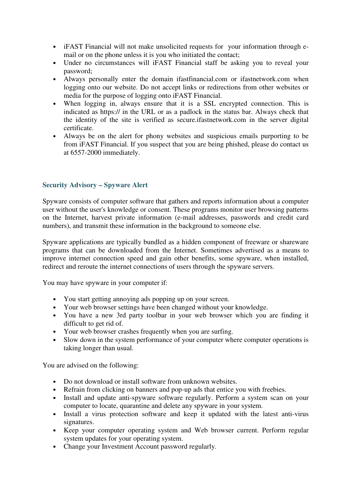- iFAST Financial will not make unsolicited requests for your information through email or on the phone unless it is you who initiated the contact;
- Under no circumstances will iFAST Financial staff be asking you to reveal your password;
- Always personally enter the domain ifastfinancial.com or ifastnetwork.com when logging onto our website. Do not accept links or redirections from other websites or media for the purpose of logging onto iFAST Financial.
- When logging in, always ensure that it is a SSL encrypted connection. This is indicated as https:// in the URL or as a padlock in the status bar. Always check that the identity of the site is verified as secure.ifastnetwork.com in the server digital certificate.
- Always be on the alert for phony websites and suspicious emails purporting to be from iFAST Financial. If you suspect that you are being phished, please do contact us at 6557-2000 immediately.

## **Security Advisory – Spyware Alert**

Spyware consists of computer software that gathers and reports information about a computer user without the user's knowledge or consent. These programs monitor user browsing patterns on the Internet, harvest private information (e-mail addresses, passwords and credit card numbers), and transmit these information in the background to someone else.

Spyware applications are typically bundled as a hidden component of freeware or shareware programs that can be downloaded from the Internet. Sometimes advertised as a means to improve internet connection speed and gain other benefits, some spyware, when installed, redirect and reroute the internet connections of users through the spyware servers.

You may have spyware in your computer if:

- You start getting annoying ads popping up on your screen.
- Your web browser settings have been changed without your knowledge.
- You have a new 3rd party toolbar in your web browser which you are finding it difficult to get rid of.
- Your web browser crashes frequently when you are surfing.
- Slow down in the system performance of your computer where computer operations is taking longer than usual.

You are advised on the following:

- Do not download or install software from unknown websites.
- Refrain from clicking on banners and pop-up ads that entice you with freebies.
- Install and update anti-spyware software regularly. Perform a system scan on your computer to locate, quarantine and delete any spyware in your system.
- Install a virus protection software and keep it updated with the latest anti-virus signatures.
- Keep your computer operating system and Web browser current. Perform regular system updates for your operating system.
- Change your Investment Account password regularly.